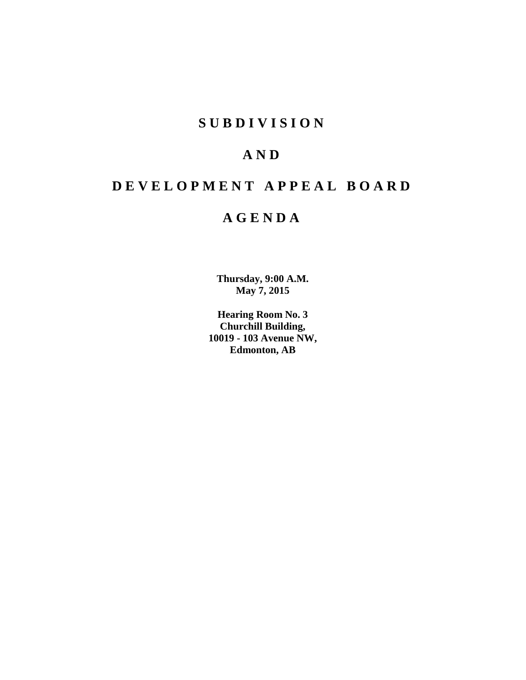## **SUBDIVISION**

# **AND**

# **DEVELOPMENT APPEAL BOARD**

## **AGENDA**

**Thursday, 9:00 A.M. May 7, 2015**

**Hearing Room No. 3 Churchill Building, 10019 - 103 Avenue NW, Edmonton, AB**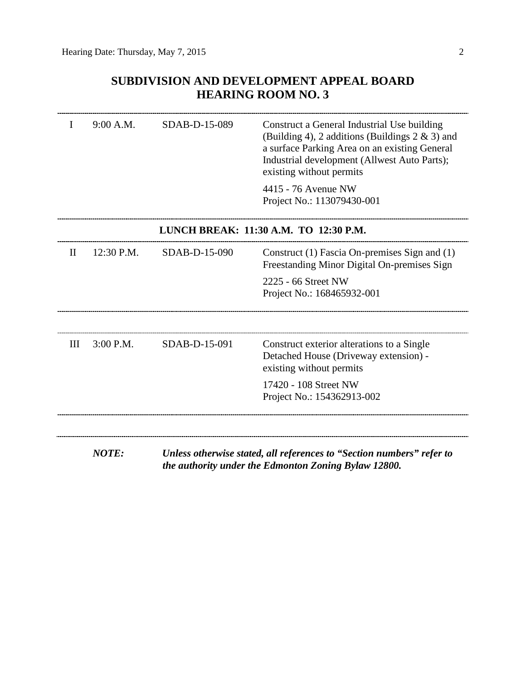## **SUBDIVISION AND DEVELOPMENT APPEAL BOARD HEARING ROOM NO. 3**

|              | 9:00 A.M.    | SDAB-D-15-089 | Construct a General Industrial Use building<br>(Building 4), 2 additions (Buildings $2 \& 3$ ) and<br>a surface Parking Area on an existing General<br>Industrial development (Allwest Auto Parts);<br>existing without permits |
|--------------|--------------|---------------|---------------------------------------------------------------------------------------------------------------------------------------------------------------------------------------------------------------------------------|
|              |              |               | 4415 - 76 Avenue NW<br>Project No.: 113079430-001                                                                                                                                                                               |
|              |              |               | LUNCH BREAK: 11:30 A.M. TO 12:30 P.M.                                                                                                                                                                                           |
| $\mathbf{I}$ | 12:30 P.M.   | SDAB-D-15-090 | Construct (1) Fascia On-premises Sign and (1)<br>Freestanding Minor Digital On-premises Sign                                                                                                                                    |
|              |              |               | 2225 - 66 Street NW<br>Project No.: 168465932-001                                                                                                                                                                               |
|              |              |               |                                                                                                                                                                                                                                 |
| Ш            | 3:00 P.M.    | SDAB-D-15-091 | Construct exterior alterations to a Single<br>Detached House (Driveway extension) -<br>existing without permits                                                                                                                 |
|              |              |               | 17420 - 108 Street NW<br>Project No.: 154362913-002                                                                                                                                                                             |
|              |              |               |                                                                                                                                                                                                                                 |
|              | <b>NOTE:</b> |               | Unless otherwise stated, all references to "Section numbers" refer to<br>the authority under the Edmonton Zoning Bylaw 12800.                                                                                                   |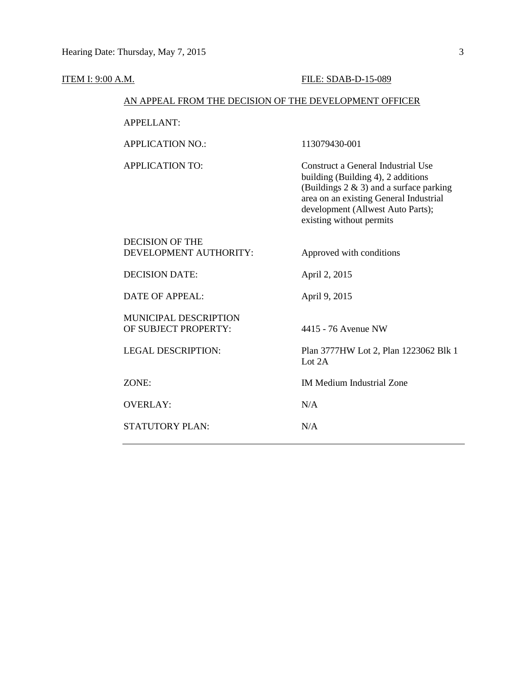#### **ITEM I: 9:00 A.M. FILE: SDAB-D-15-089**

### AN APPEAL FROM THE DECISION OF THE DEVELOPMENT OFFICER

APPELLANT:

APPLICATION NO.: 113079430-001

APPLICATION TO: Construct a General Industrial Use building (Building 4), 2 additions (Buildings  $2 \& 3$ ) and a surface parking area on an existing General Industrial development (Allwest Auto Parts); existing without permits

| DECISION OF THE<br>DEVELOPMENT AUTHORITY:            | Approved with conditions                          |
|------------------------------------------------------|---------------------------------------------------|
| DECISION DATE:                                       | April 2, 2015                                     |
| DATE OF APPEAL:                                      | April 9, 2015                                     |
| <b>MUNICIPAL DESCRIPTION</b><br>OF SUBJECT PROPERTY: | 4415 - 76 Avenue NW                               |
| LEGAL DESCRIPTION:                                   | Plan 3777HW Lot 2, Plan 1223062 Blk 1<br>Lot $2A$ |
| ZONE:                                                | <b>IM Medium Industrial Zone</b>                  |
| <b>OVERLAY:</b>                                      | N/A                                               |
| STATUTORY PLAN:                                      | N/A                                               |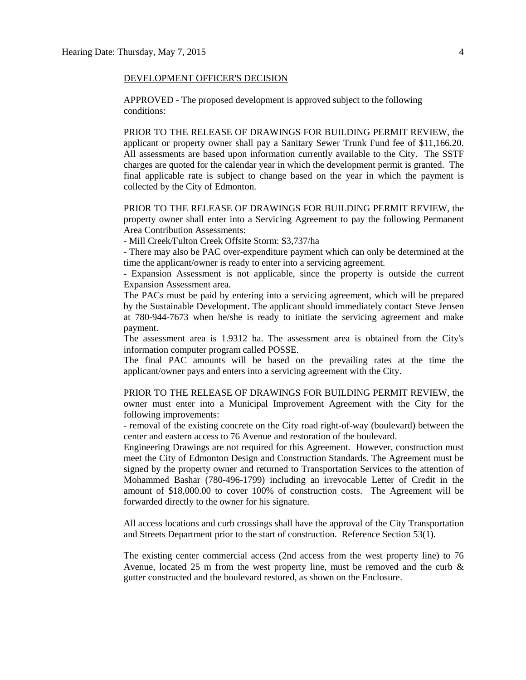#### DEVELOPMENT OFFICER'S DECISION

APPROVED - The proposed development is approved subject to the following conditions:

PRIOR TO THE RELEASE OF DRAWINGS FOR BUILDING PERMIT REVIEW, the applicant or property owner shall pay a Sanitary Sewer Trunk Fund fee of \$11,166.20. All assessments are based upon information currently available to the City. The SSTF charges are quoted for the calendar year in which the development permit is granted. The final applicable rate is subject to change based on the year in which the payment is collected by the City of Edmonton.

PRIOR TO THE RELEASE OF DRAWINGS FOR BUILDING PERMIT REVIEW, the property owner shall enter into a Servicing Agreement to pay the following Permanent Area Contribution Assessments:

- Mill Creek/Fulton Creek Offsite Storm: \$3,737/ha

- There may also be PAC over-expenditure payment which can only be determined at the time the applicant/owner is ready to enter into a servicing agreement.

- Expansion Assessment is not applicable, since the property is outside the current Expansion Assessment area.

The PACs must be paid by entering into a servicing agreement, which will be prepared by the Sustainable Development. The applicant should immediately contact Steve Jensen at 780-944-7673 when he/she is ready to initiate the servicing agreement and make payment.

The assessment area is 1.9312 ha. The assessment area is obtained from the City's information computer program called POSSE.

The final PAC amounts will be based on the prevailing rates at the time the applicant/owner pays and enters into a servicing agreement with the City.

PRIOR TO THE RELEASE OF DRAWINGS FOR BUILDING PERMIT REVIEW, the owner must enter into a Municipal Improvement Agreement with the City for the following improvements:

- removal of the existing concrete on the City road right-of-way (boulevard) between the center and eastern access to 76 Avenue and restoration of the boulevard.

Engineering Drawings are not required for this Agreement. However, construction must meet the City of Edmonton Design and Construction Standards. The Agreement must be signed by the property owner and returned to Transportation Services to the attention of Mohammed Bashar (780-496-1799) including an irrevocable Letter of Credit in the amount of \$18,000.00 to cover 100% of construction costs. The Agreement will be forwarded directly to the owner for his signature.

All access locations and curb crossings shall have the approval of the City Transportation and Streets Department prior to the start of construction. Reference Section 53(1).

The existing center commercial access (2nd access from the west property line) to 76 Avenue, located 25 m from the west property line, must be removed and the curb  $\&$ gutter constructed and the boulevard restored, as shown on the Enclosure.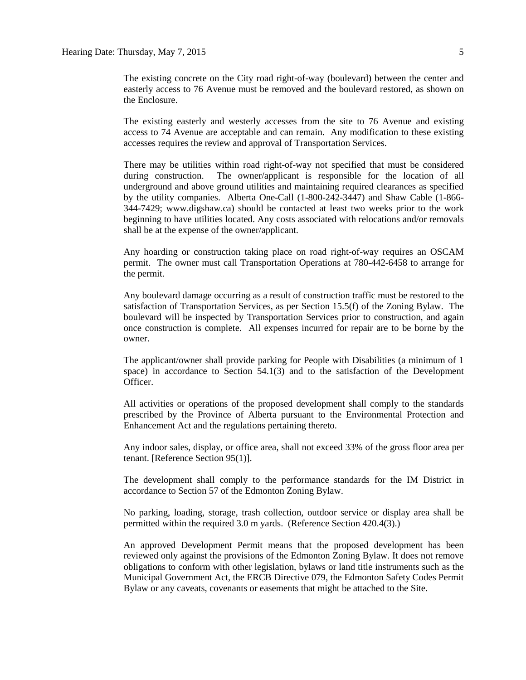The existing concrete on the City road right-of-way (boulevard) between the center and easterly access to 76 Avenue must be removed and the boulevard restored, as shown on the Enclosure.

The existing easterly and westerly accesses from the site to 76 Avenue and existing access to 74 Avenue are acceptable and can remain. Any modification to these existing accesses requires the review and approval of Transportation Services.

There may be utilities within road right-of-way not specified that must be considered during construction. The owner/applicant is responsible for the location of all underground and above ground utilities and maintaining required clearances as specified by the utility companies. Alberta One-Call (1-800-242-3447) and Shaw Cable (1-866- 344-7429; www.digshaw.ca) should be contacted at least two weeks prior to the work beginning to have utilities located. Any costs associated with relocations and/or removals shall be at the expense of the owner/applicant.

Any hoarding or construction taking place on road right-of-way requires an OSCAM permit. The owner must call Transportation Operations at 780-442-6458 to arrange for the permit.

Any boulevard damage occurring as a result of construction traffic must be restored to the satisfaction of Transportation Services, as per Section 15.5(f) of the Zoning Bylaw. The boulevard will be inspected by Transportation Services prior to construction, and again once construction is complete. All expenses incurred for repair are to be borne by the owner.

The applicant/owner shall provide parking for People with Disabilities (a minimum of 1 space) in accordance to Section 54.1(3) and to the satisfaction of the Development Officer.

All activities or operations of the proposed development shall comply to the standards prescribed by the Province of Alberta pursuant to the Environmental Protection and Enhancement Act and the regulations pertaining thereto.

Any indoor sales, display, or office area, shall not exceed 33% of the gross floor area per tenant. [Reference Section 95(1)].

The development shall comply to the performance standards for the IM District in accordance to Section 57 of the Edmonton Zoning Bylaw.

No parking, loading, storage, trash collection, outdoor service or display area shall be permitted within the required 3.0 m yards. (Reference Section 420.4(3).)

An approved Development Permit means that the proposed development has been reviewed only against the provisions of the Edmonton Zoning Bylaw. It does not remove obligations to conform with other legislation, bylaws or land title instruments such as the Municipal Government Act, the ERCB Directive 079, the Edmonton Safety Codes Permit Bylaw or any caveats, covenants or easements that might be attached to the Site.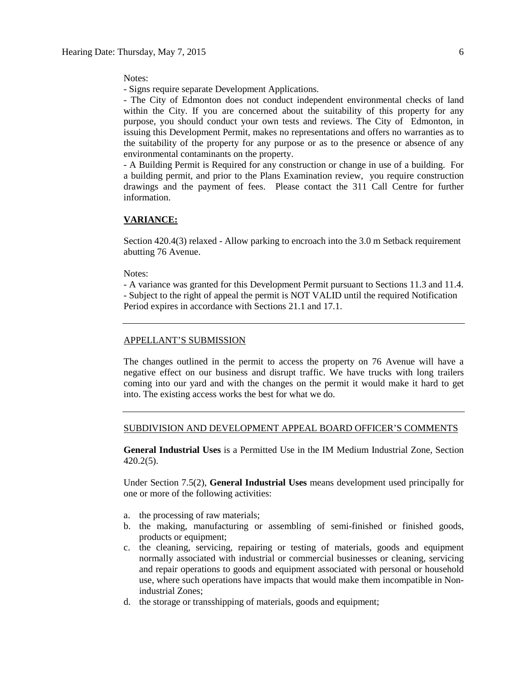Notes:

- Signs require separate Development Applications.

- The City of Edmonton does not conduct independent environmental checks of land within the City. If you are concerned about the suitability of this property for any purpose, you should conduct your own tests and reviews. The City of Edmonton, in issuing this Development Permit, makes no representations and offers no warranties as to the suitability of the property for any purpose or as to the presence or absence of any environmental contaminants on the property.

- A Building Permit is Required for any construction or change in use of a building. For a building permit, and prior to the Plans Examination review, you require construction drawings and the payment of fees. Please contact the 311 Call Centre for further information.

#### **VARIANCE:**

Section 420.4(3) relaxed - Allow parking to encroach into the 3.0 m Setback requirement abutting 76 Avenue.

Notes:

- A variance was granted for this Development Permit pursuant to Sections 11.3 and 11.4. - Subject to the right of appeal the permit is NOT VALID until the required Notification Period expires in accordance with Sections 21.1 and 17.1.

#### APPELLANT'S SUBMISSION

The changes outlined in the permit to access the property on 76 Avenue will have a negative effect on our business and disrupt traffic. We have trucks with long trailers coming into our yard and with the changes on the permit it would make it hard to get into. The existing access works the best for what we do.

#### SUBDIVISION AND DEVELOPMENT APPEAL BOARD OFFICER'S COMMENTS

**General Industrial Uses** is a Permitted Use in the IM Medium Industrial Zone, Section 420.2(5).

Under Section 7.5(2), **General Industrial Uses** means development used principally for one or more of the following activities:

- a. the processing of raw materials;
- b. the making, manufacturing or assembling of semi-finished or finished goods, products or equipment;
- c. the cleaning, servicing, repairing or testing of materials, goods and equipment normally associated with industrial or commercial businesses or cleaning, servicing and repair operations to goods and equipment associated with personal or household use, where such operations have impacts that would make them incompatible in Nonindustrial Zones;
- d. the storage or transshipping of materials, goods and equipment;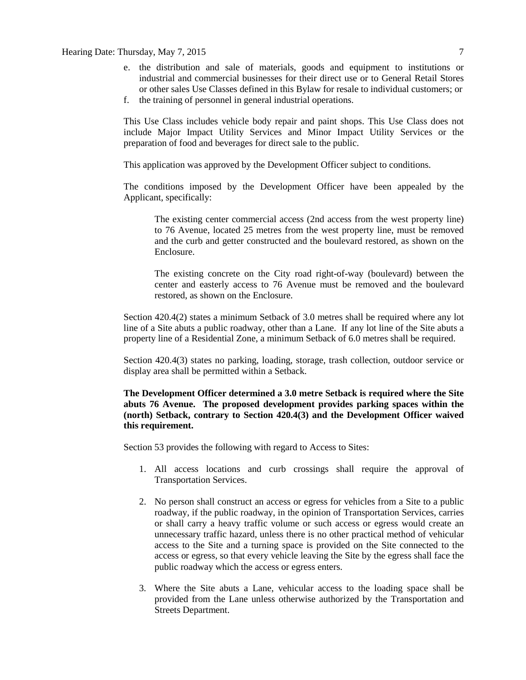#### Hearing Date: Thursday, May 7, 2015 7

- e. the distribution and sale of materials, goods and equipment to institutions or industrial and commercial businesses for their direct use or to General Retail Stores or other sales Use Classes defined in this Bylaw for resale to individual customers; or
- f. the training of personnel in general industrial operations.

This Use Class includes vehicle body repair and paint shops. This Use Class does not include Major Impact Utility Services and Minor Impact Utility Services or the preparation of food and beverages for direct sale to the public.

This application was approved by the Development Officer subject to conditions.

The conditions imposed by the Development Officer have been appealed by the Applicant, specifically:

The existing center commercial access (2nd access from the west property line) to 76 Avenue, located 25 metres from the west property line, must be removed and the curb and getter constructed and the boulevard restored, as shown on the Enclosure.

The existing concrete on the City road right-of-way (boulevard) between the center and easterly access to 76 Avenue must be removed and the boulevard restored, as shown on the Enclosure.

Section 420.4(2) states a minimum Setback of 3.0 metres shall be required where any lot line of a Site abuts a public roadway, other than a Lane. If any lot line of the Site abuts a property line of a Residential Zone, a minimum Setback of 6.0 metres shall be required.

Section 420.4(3) states no parking, loading, storage, trash collection, outdoor service or display area shall be permitted within a Setback.

**The Development Officer determined a 3.0 metre Setback is required where the Site abuts 76 Avenue. The proposed development provides parking spaces within the (north) Setback, contrary to Section 420.4(3) and the Development Officer waived this requirement.**

Section 53 provides the following with regard to Access to Sites:

- 1. All access locations and curb crossings shall require the approval of Transportation Services.
- 2. No person shall construct an access or egress for vehicles from a Site to a public roadway, if the public roadway, in the opinion of Transportation Services, carries or shall carry a heavy traffic volume or such access or egress would create an unnecessary traffic hazard, unless there is no other practical method of vehicular access to the Site and a turning space is provided on the Site connected to the access or egress, so that every vehicle leaving the Site by the egress shall face the public roadway which the access or egress enters.
- 3. Where the Site abuts a Lane, vehicular access to the loading space shall be provided from the Lane unless otherwise authorized by the Transportation and Streets Department.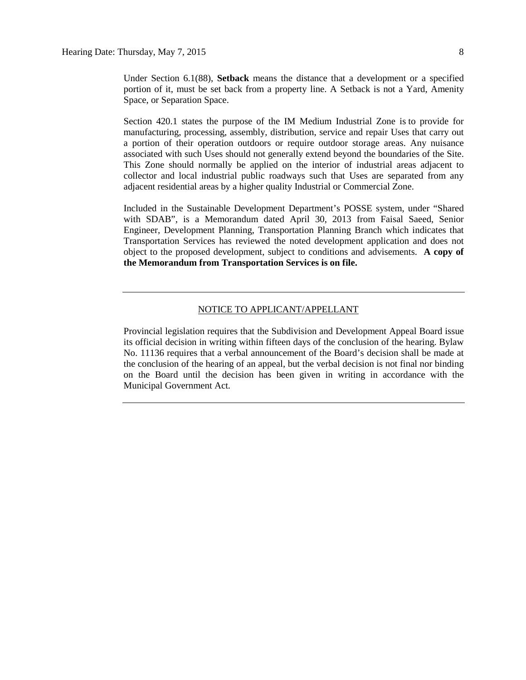Under Section 6.1(88), **Setback** means the distance that a development or a specified portion of it, must be set back from a property line. A Setback is not a Yard, Amenity Space, or Separation Space.

Section 420.1 states the purpose of the IM Medium Industrial Zone is to provide for manufacturing, processing, assembly, distribution, service and repair Uses that carry out a portion of their operation outdoors or require outdoor storage areas. Any nuisance associated with such Uses should not generally extend beyond the boundaries of the Site. This Zone should normally be applied on the interior of industrial areas adjacent to collector and local industrial public roadways such that Uses are separated from any adjacent residential areas by a higher quality Industrial or Commercial Zone.

Included in the Sustainable Development Department's POSSE system, under "Shared with SDAB", is a Memorandum dated April 30, 2013 from Faisal Saeed, Senior Engineer, Development Planning, Transportation Planning Branch which indicates that Transportation Services has reviewed the noted development application and does not object to the proposed development, subject to conditions and advisements. **A copy of the Memorandum from Transportation Services is on file.**

#### NOTICE TO APPLICANT/APPELLANT

Provincial legislation requires that the Subdivision and Development Appeal Board issue its official decision in writing within fifteen days of the conclusion of the hearing. Bylaw No. 11136 requires that a verbal announcement of the Board's decision shall be made at the conclusion of the hearing of an appeal, but the verbal decision is not final nor binding on the Board until the decision has been given in writing in accordance with the Municipal Government Act.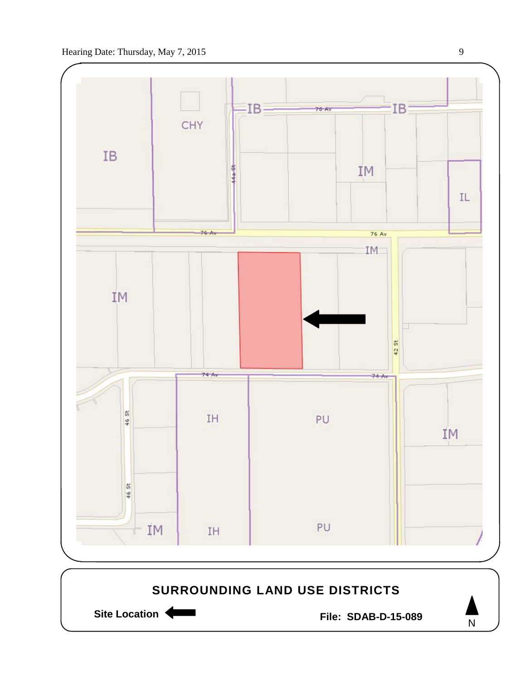

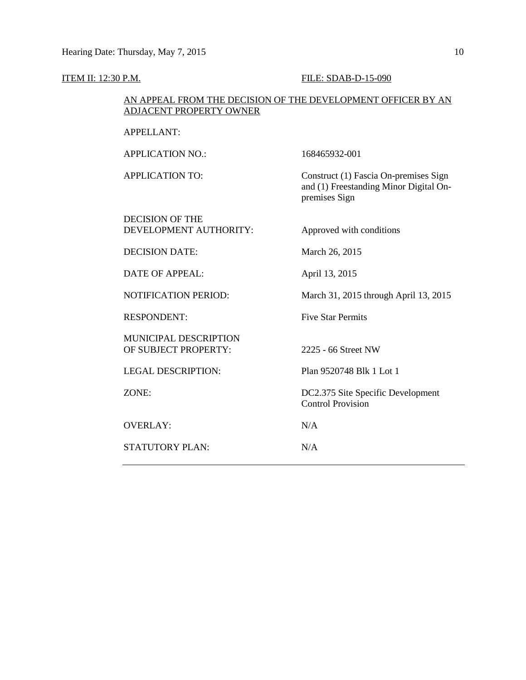#### **ITEM II: 12:30 P.M. FILE: SDAB-D-15-090**

#### AN APPEAL FROM THE DECISION OF THE DEVELOPMENT OFFICER BY AN ADJACENT PROPERTY OWNER

APPELLANT:

APPLICATION NO.: 168465932-001

APPLICATION TO: Construct (1) Fascia On-premises Sign

DECISION OF THE DEVELOPMENT AUTHORITY: Approved with conditions

DECISION DATE: March 26, 2015

DATE OF APPEAL: April 13, 2015

MUNICIPAL DESCRIPTION OF SUBJECT PROPERTY: 2225 - 66 Street NW

OVERLAY: N/A

STATUTORY PLAN: N/A

premises Sign

NOTIFICATION PERIOD: March 31, 2015 through April 13, 2015

and (1) Freestanding Minor Digital On-

RESPONDENT: Five Star Permits

LEGAL DESCRIPTION: Plan 9520748 Blk 1 Lot 1

ZONE: DC2.375 Site Specific Development Control Provision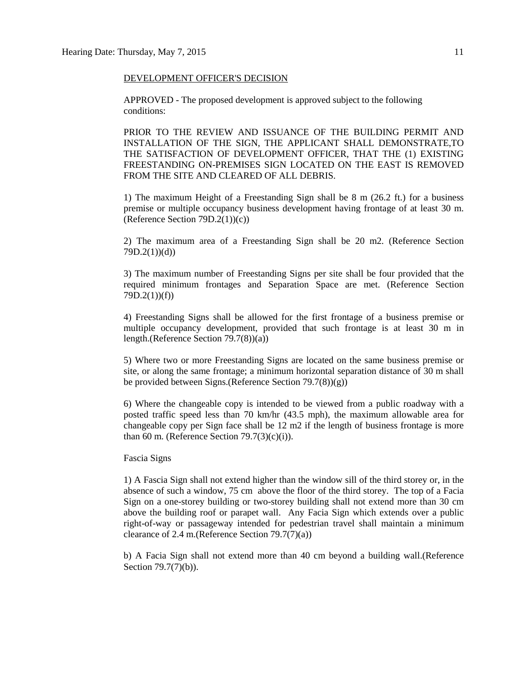#### DEVELOPMENT OFFICER'S DECISION

APPROVED - The proposed development is approved subject to the following conditions:

PRIOR TO THE REVIEW AND ISSUANCE OF THE BUILDING PERMIT AND INSTALLATION OF THE SIGN, THE APPLICANT SHALL DEMONSTRATE,TO THE SATISFACTION OF DEVELOPMENT OFFICER, THAT THE (1) EXISTING FREESTANDING ON-PREMISES SIGN LOCATED ON THE EAST IS REMOVED FROM THE SITE AND CLEARED OF ALL DEBRIS.

1) The maximum Height of a Freestanding Sign shall be 8 m (26.2 ft.) for a business premise or multiple occupancy business development having frontage of at least 30 m. (Reference Section 79D.2(1))(c))

2) The maximum area of a Freestanding Sign shall be 20 m2. (Reference Section  $79D.2(1)$  $(d)$ 

3) The maximum number of Freestanding Signs per site shall be four provided that the required minimum frontages and Separation Space are met. (Reference Section 79D.2(1))(f))

4) Freestanding Signs shall be allowed for the first frontage of a business premise or multiple occupancy development, provided that such frontage is at least 30 m in length.(Reference Section 79.7(8))(a))

5) Where two or more Freestanding Signs are located on the same business premise or site, or along the same frontage; a minimum horizontal separation distance of 30 m shall be provided between Signs.(Reference Section 79.7(8))(g))

6) Where the changeable copy is intended to be viewed from a public roadway with a posted traffic speed less than 70 km/hr (43.5 mph), the maximum allowable area for changeable copy per Sign face shall be 12 m2 if the length of business frontage is more than 60 m. (Reference Section  $79.7(3)(c)(i)$ ).

Fascia Signs

1) A Fascia Sign shall not extend higher than the window sill of the third storey or, in the absence of such a window, 75 cm above the floor of the third storey. The top of a Facia Sign on a one-storey building or two-storey building shall not extend more than 30 cm above the building roof or parapet wall. Any Facia Sign which extends over a public right-of-way or passageway intended for pedestrian travel shall maintain a minimum clearance of 2.4 m.(Reference Section 79.7(7)(a))

b) A Facia Sign shall not extend more than 40 cm beyond a building wall.(Reference Section 79.7(7)(b)).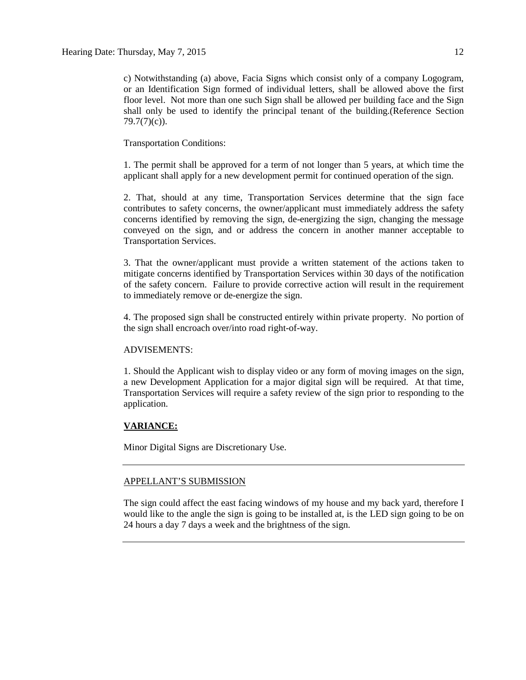c) Notwithstanding (a) above, Facia Signs which consist only of a company Logogram, or an Identification Sign formed of individual letters, shall be allowed above the first floor level. Not more than one such Sign shall be allowed per building face and the Sign shall only be used to identify the principal tenant of the building.(Reference Section 79.7(7)(c)).

Transportation Conditions:

1. The permit shall be approved for a term of not longer than 5 years, at which time the applicant shall apply for a new development permit for continued operation of the sign.

2. That, should at any time, Transportation Services determine that the sign face contributes to safety concerns, the owner/applicant must immediately address the safety concerns identified by removing the sign, de-energizing the sign, changing the message conveyed on the sign, and or address the concern in another manner acceptable to Transportation Services.

3. That the owner/applicant must provide a written statement of the actions taken to mitigate concerns identified by Transportation Services within 30 days of the notification of the safety concern. Failure to provide corrective action will result in the requirement to immediately remove or de-energize the sign.

4. The proposed sign shall be constructed entirely within private property. No portion of the sign shall encroach over/into road right-of-way.

#### ADVISEMENTS:

1. Should the Applicant wish to display video or any form of moving images on the sign, a new Development Application for a major digital sign will be required. At that time, Transportation Services will require a safety review of the sign prior to responding to the application.

#### **VARIANCE:**

Minor Digital Signs are Discretionary Use.

#### APPELLANT'S SUBMISSION

The sign could affect the east facing windows of my house and my back yard, therefore I would like to the angle the sign is going to be installed at, is the LED sign going to be on 24 hours a day 7 days a week and the brightness of the sign.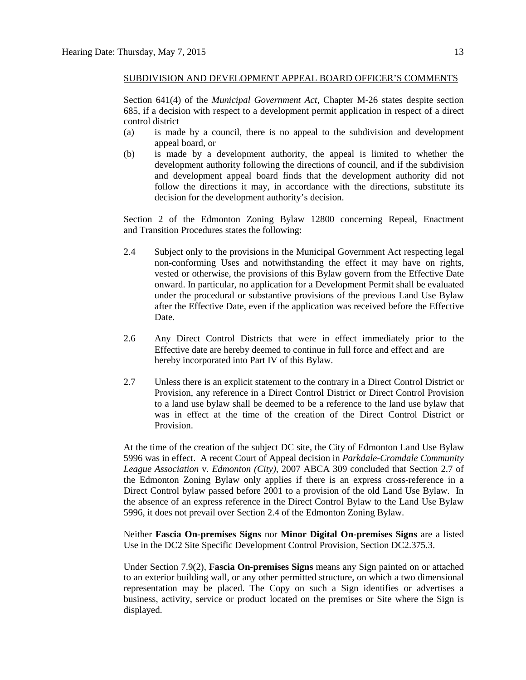#### SUBDIVISION AND DEVELOPMENT APPEAL BOARD OFFICER'S COMMENTS

Section 641(4) of the *Municipal Government Act*, Chapter M-26 states despite section 685, if a decision with respect to a development permit application in respect of a direct control district

- (a) is made by a council, there is no appeal to the subdivision and development appeal board, or
- (b) is made by a development authority, the appeal is limited to whether the development authority following the directions of council, and if the subdivision and development appeal board finds that the development authority did not follow the directions it may, in accordance with the directions, substitute its decision for the development authority's decision.

Section 2 of the Edmonton Zoning Bylaw 12800 concerning Repeal, Enactment and Transition Procedures states the following:

- 2.4 Subject only to the provisions in the Municipal Government Act respecting legal non-conforming Uses and notwithstanding the effect it may have on rights, vested or otherwise, the provisions of this Bylaw govern from the Effective Date onward. In particular, no application for a Development Permit shall be evaluated under the procedural or substantive provisions of the previous Land Use Bylaw after the Effective Date, even if the application was received before the Effective Date.
- 2.6 Any Direct Control Districts that were in effect immediately prior to the Effective date are hereby deemed to continue in full force and effect and are hereby incorporated into Part IV of this Bylaw.
- 2.7 Unless there is an explicit statement to the contrary in a Direct Control District or Provision, any reference in a Direct Control District or Direct Control Provision to a land use bylaw shall be deemed to be a reference to the land use bylaw that was in effect at the time of the creation of the Direct Control District or Provision.

At the time of the creation of the subject DC site, the City of Edmonton Land Use Bylaw 5996 was in effect. A recent Court of Appeal decision in *Parkdale-Cromdale Community League Association* v. *Edmonton (City),* 2007 ABCA 309 concluded that Section 2.7 of the Edmonton Zoning Bylaw only applies if there is an express cross-reference in a Direct Control bylaw passed before 2001 to a provision of the old Land Use Bylaw. In the absence of an express reference in the Direct Control Bylaw to the Land Use Bylaw 5996, it does not prevail over Section 2.4 of the Edmonton Zoning Bylaw.

Neither **Fascia On-premises Signs** nor **Minor Digital On-premises Signs** are a listed Use in the DC2 Site Specific Development Control Provision, Section DC2.375.3.

Under Section 7.9(2), **Fascia On-premises Signs** means any Sign painted on or attached to an exterior building wall, or any other permitted structure, on which a two dimensional representation may be placed. The Copy on such a Sign identifies or advertises a business, activity, service or product located on the premises or Site where the Sign is displayed.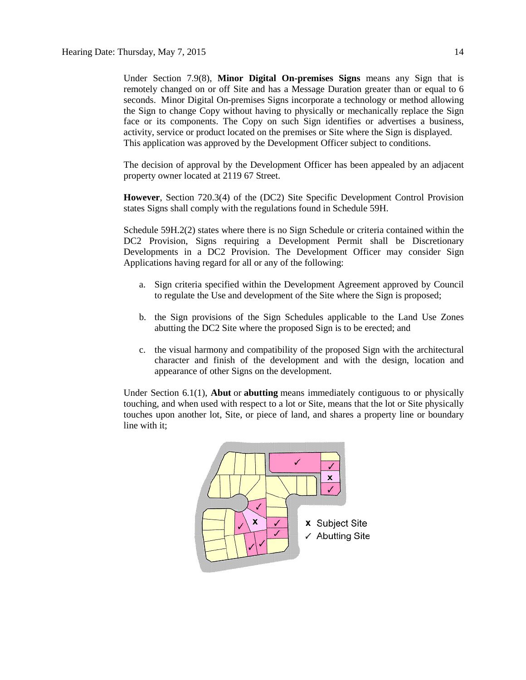Under Section 7.9(8), **Minor Digital On-premises Signs** means any Sign that is remotely changed on or off Site and has a Message Duration greater than or equal to 6 seconds. Minor Digital On-premises Signs incorporate a technology or method allowing the Sign to change Copy without having to physically or mechanically replace the Sign face or its components. The Copy on such Sign identifies or advertises a business, activity, service or product located on the premises or Site where the Sign is displayed. This application was approved by the Development Officer subject to conditions.

The decision of approval by the Development Officer has been appealed by an adjacent property owner located at 2119 67 Street.

**However**, Section 720.3(4) of the (DC2) Site Specific Development Control Provision states Signs shall comply with the regulations found in [Schedule 59H.](http://webdocs.edmonton.ca/InfraPlan/zoningbylaw/ZoningBylaw/Schedule/Schedule_59H.htm)

Schedule 59H.2(2) states where there is no Sign Schedule or criteria contained within the DC2 Provision, Signs requiring a Development Permit shall be Discretionary Developments in a DC2 Provision. The Development Officer may consider Sign Applications having regard for all or any of the following:

- a. Sign criteria specified within the Development Agreement approved by Council to regulate the Use and development of the Site where the Sign is proposed;
- b. the Sign provisions of the Sign Schedules applicable to the Land Use Zones abutting the DC2 Site where the proposed Sign is to be erected; and
- c. the visual harmony and compatibility of the proposed Sign with the architectural character and finish of the development and with the design, location and appearance of other Signs on the development.

Under Section 6.1(1), **Abut** or **abutting** means immediately contiguous to or physically touching, and when used with respect to a lot or Site, means that the lot or Site physically touches upon another lot, Site, or piece of land, and shares a property line or boundary line with it;

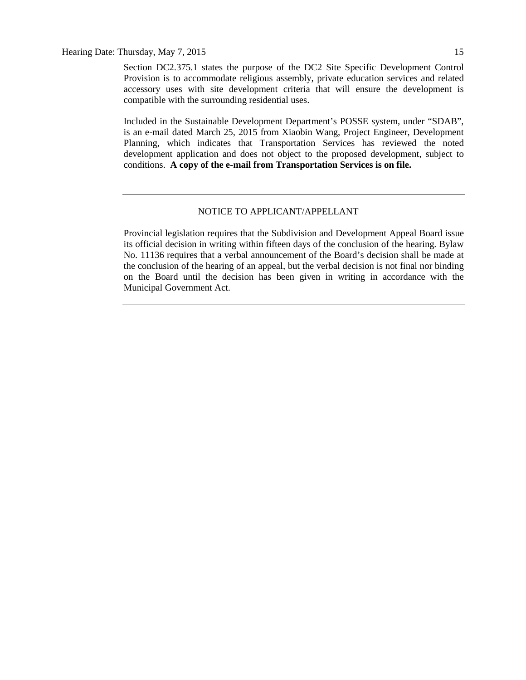Section DC2.375.1 states the purpose of the DC2 Site Specific Development Control Provision is to accommodate religious assembly, private education services and related accessory uses with site development criteria that will ensure the development is compatible with the surrounding residential uses.

Included in the Sustainable Development Department's POSSE system, under "SDAB", is an e-mail dated March 25, 2015 from Xiaobin Wang, Project Engineer, Development Planning, which indicates that Transportation Services has reviewed the noted development application and does not object to the proposed development, subject to conditions. **A copy of the e-mail from Transportation Services is on file.**

#### NOTICE TO APPLICANT/APPELLANT

Provincial legislation requires that the Subdivision and Development Appeal Board issue its official decision in writing within fifteen days of the conclusion of the hearing. Bylaw No. 11136 requires that a verbal announcement of the Board's decision shall be made at the conclusion of the hearing of an appeal, but the verbal decision is not final nor binding on the Board until the decision has been given in writing in accordance with the Municipal Government Act.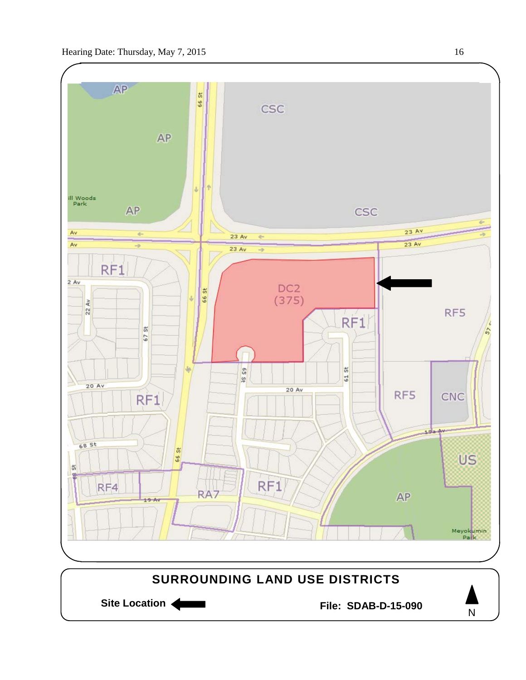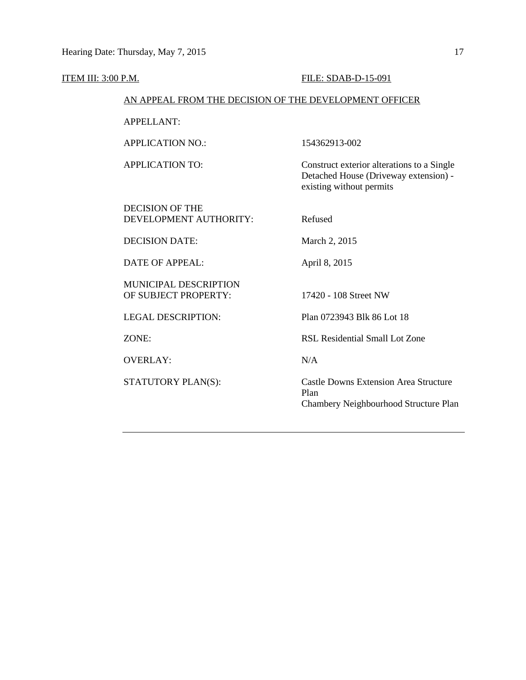#### ITEM III: 3:00 P.M. FILE: SDAB-D-15-091

#### AN APPEAL FROM THE DECISION OF THE DEVELOPMENT OFFICER

APPELLANT:

APPLICATION NO.: 154362913-002

DECISION OF THE DEVELOPMENT AUTHORITY: Refused

APPLICATION TO: Construct exterior alterations to a Single Detached House (Driveway extension) existing without permits

DECISION DATE: March 2, 2015

DATE OF APPEAL: April 8, 2015

MUNICIPAL DESCRIPTION OF SUBJECT PROPERTY: 17420 - 108 Street NW

OVERLAY: N/A

LEGAL DESCRIPTION: Plan 0723943 Blk 86 Lot 18

ZONE: RSL Residential Small Lot Zone

STATUTORY PLAN(S): Castle Downs Extension Area Structure Plan Chambery Neighbourhood Structure Plan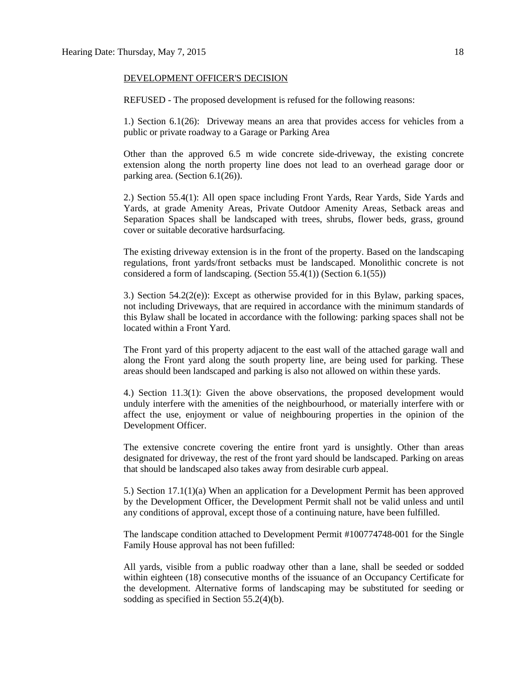#### DEVELOPMENT OFFICER'S DECISION

REFUSED - The proposed development is refused for the following reasons:

1.) Section 6.1(26): Driveway means an area that provides access for vehicles from a public or private roadway to a Garage or Parking Area

Other than the approved 6.5 m wide concrete side-driveway, the existing concrete extension along the north property line does not lead to an overhead garage door or parking area. (Section 6.1(26)).

2.) Section 55.4(1): All open space including Front Yards, Rear Yards, Side Yards and Yards, at grade Amenity Areas, Private Outdoor Amenity Areas, Setback areas and Separation Spaces shall be landscaped with trees, shrubs, flower beds, grass, ground cover or suitable decorative hardsurfacing.

The existing driveway extension is in the front of the property. Based on the landscaping regulations, front yards/front setbacks must be landscaped. Monolithic concrete is not considered a form of landscaping. (Section 55.4(1)) (Section 6.1(55))

3.) Section  $54.2(2(e))$ : Except as otherwise provided for in this Bylaw, parking spaces, not including Driveways, that are required in accordance with the minimum standards of this Bylaw shall be located in accordance with the following: parking spaces shall not be located within a Front Yard.

The Front yard of this property adjacent to the east wall of the attached garage wall and along the Front yard along the south property line, are being used for parking. These areas should been landscaped and parking is also not allowed on within these yards.

4.) Section 11.3(1): Given the above observations, the proposed development would unduly interfere with the amenities of the neighbourhood, or materially interfere with or affect the use, enjoyment or value of neighbouring properties in the opinion of the Development Officer.

The extensive concrete covering the entire front yard is unsightly. Other than areas designated for driveway, the rest of the front yard should be landscaped. Parking on areas that should be landscaped also takes away from desirable curb appeal.

5.) Section 17.1(1)(a) When an application for a Development Permit has been approved by the Development Officer, the Development Permit shall not be valid unless and until any conditions of approval, except those of a continuing nature, have been fulfilled.

The landscape condition attached to Development Permit #100774748-001 for the Single Family House approval has not been fufilled:

All yards, visible from a public roadway other than a lane, shall be seeded or sodded within eighteen (18) consecutive months of the issuance of an Occupancy Certificate for the development. Alternative forms of landscaping may be substituted for seeding or sodding as specified in Section 55.2(4)(b).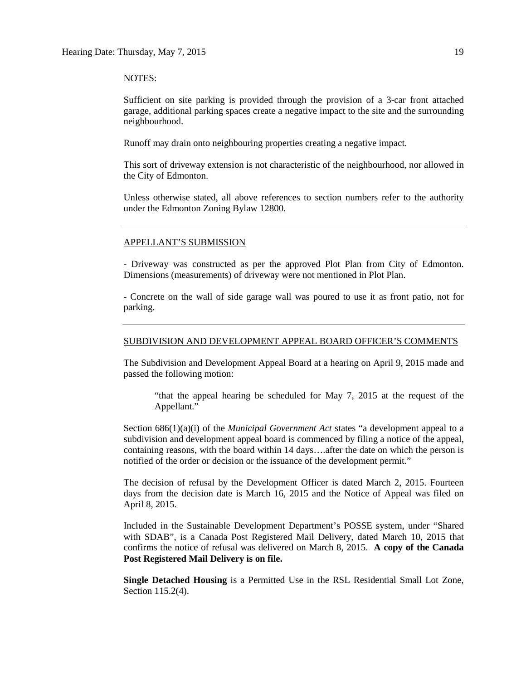#### NOTES:

Sufficient on site parking is provided through the provision of a 3-car front attached garage, additional parking spaces create a negative impact to the site and the surrounding neighbourhood.

Runoff may drain onto neighbouring properties creating a negative impact.

This sort of driveway extension is not characteristic of the neighbourhood, nor allowed in the City of Edmonton.

Unless otherwise stated, all above references to section numbers refer to the authority under the Edmonton Zoning Bylaw 12800.

#### APPELLANT'S SUBMISSION

- Driveway was constructed as per the approved Plot Plan from City of Edmonton. Dimensions (measurements) of driveway were not mentioned in Plot Plan.

- Concrete on the wall of side garage wall was poured to use it as front patio, not for parking.

#### SUBDIVISION AND DEVELOPMENT APPEAL BOARD OFFICER'S COMMENTS

The Subdivision and Development Appeal Board at a hearing on April 9, 2015 made and passed the following motion:

"that the appeal hearing be scheduled for May 7, 2015 at the request of the Appellant."

Section 686(1)(a)(i) of the *Municipal Government Act* states "a development appeal to a subdivision and development appeal board is commenced by filing a notice of the appeal, containing reasons, with the board within 14 days….after the date on which the person is notified of the order or decision or the issuance of the development permit."

The decision of refusal by the Development Officer is dated March 2, 2015. Fourteen days from the decision date is March 16, 2015 and the Notice of Appeal was filed on April 8, 2015.

Included in the Sustainable Development Department's POSSE system, under "Shared with SDAB", is a Canada Post Registered Mail Delivery, dated March 10, 2015 that confirms the notice of refusal was delivered on March 8, 2015. **A copy of the Canada Post Registered Mail Delivery is on file.**

**Single Detached Housing** is a Permitted Use in the RSL Residential Small Lot Zone, Section 115.2(4).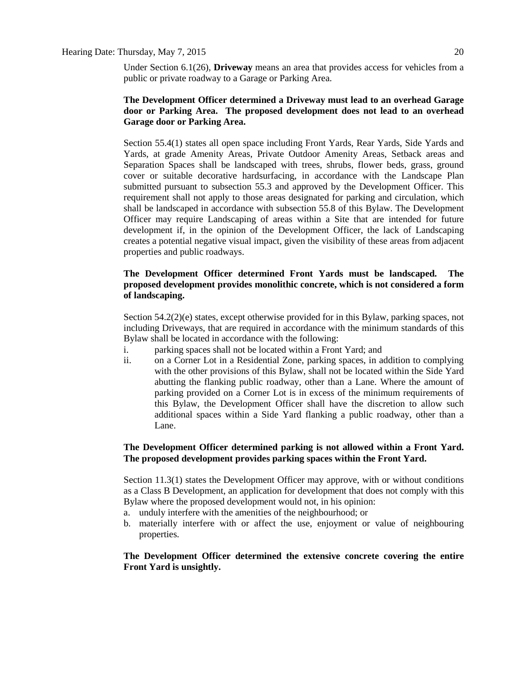#### Hearing Date: Thursday, May 7, 2015 20

Under Section 6.1(26), **Driveway** means an area that provides access for vehicles from a public or private roadway to a Garage or Parking Area.

### **The Development Officer determined a Driveway must lead to an overhead Garage door or Parking Area. The proposed development does not lead to an overhead Garage door or Parking Area.**

Section 55.4(1) states all open space including Front Yards, Rear Yards, Side Yards and Yards, at grade Amenity Areas, Private Outdoor Amenity Areas, Setback areas and Separation Spaces shall be landscaped with trees, shrubs, flower beds, grass, ground cover or suitable decorative hardsurfacing, in accordance with the Landscape Plan submitted pursuant to subsection 55.3 and approved by the Development Officer. This requirement shall not apply to those areas designated for parking and circulation, which shall be landscaped in accordance with subsection 55.8 of this Bylaw. The Development Officer may require Landscaping of areas within a Site that are intended for future development if, in the opinion of the Development Officer, the lack of Landscaping creates a potential negative visual impact, given the visibility of these areas from adjacent properties and public roadways.

### **The Development Officer determined Front Yards must be landscaped. The proposed development provides monolithic concrete, which is not considered a form of landscaping.**

Section 54.2(2)(e) states, except otherwise provided for in this Bylaw, parking spaces, not including Driveways, that are required in accordance with the minimum standards of this Bylaw shall be located in accordance with the following:

- i. parking spaces shall not be located within a Front Yard; and
- ii. on a Corner Lot in a Residential Zone, parking spaces, in addition to complying with the other provisions of this Bylaw, shall not be located within the Side Yard abutting the flanking public roadway, other than a Lane. Where the amount of parking provided on a Corner Lot is in excess of the minimum requirements of this Bylaw, the Development Officer shall have the discretion to allow such additional spaces within a Side Yard flanking a public roadway, other than a Lane.

#### **The Development Officer determined parking is not allowed within a Front Yard. The proposed development provides parking spaces within the Front Yard.**

Section 11.3(1) states the Development Officer may approve, with or without conditions as a Class B Development, an application for development that does not comply with this Bylaw where the proposed development would not, in his opinion:

- a. unduly interfere with the amenities of the neighbourhood; or
- b. materially interfere with or affect the use, enjoyment or value of neighbouring properties.

### **The Development Officer determined the extensive concrete covering the entire Front Yard is unsightly.**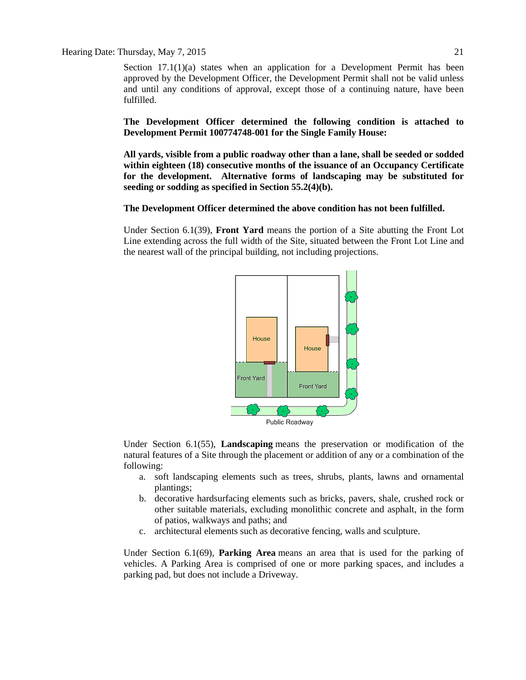Section  $17.1(1)(a)$  states when an application for a Development Permit has been approved by the Development Officer, the Development Permit shall not be valid unless and until any conditions of approval, except those of a continuing nature, have been fulfilled.

**The Development Officer determined the following condition is attached to Development Permit 100774748-001 for the Single Family House:**

**All yards, visible from a public roadway other than a lane, shall be seeded or sodded within eighteen (18) consecutive months of the issuance of an Occupancy Certificate for the development. Alternative forms of landscaping may be substituted for seeding or sodding as specified in Section 55.2(4)(b).**

#### **The Development Officer determined the above condition has not been fulfilled.**

Under Section 6.1(39), **Front Yard** means the portion of a Site abutting the Front Lot Line extending across the full width of the Site, situated between the Front Lot Line and the nearest wall of the principal building, not including projections.



Under Section 6.1(55), **Landscaping** means the preservation or modification of the natural features of a Site through the placement or addition of any or a combination of the following:

- a. soft landscaping elements such as trees, shrubs, plants, lawns and ornamental plantings;
- b. decorative hardsurfacing elements such as bricks, pavers, shale, crushed rock or other suitable materials, excluding monolithic concrete and asphalt, in the form of patios, walkways and paths; and
- c. architectural elements such as decorative fencing, walls and sculpture.

Under Section 6.1(69), **Parking Area** means an area that is used for the parking of vehicles. A Parking Area is comprised of one or more parking spaces, and includes a parking pad, but does not include a Driveway.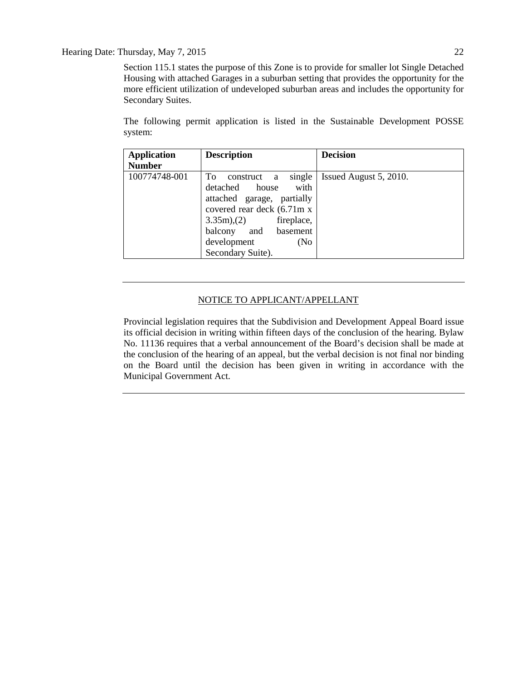#### Hearing Date: Thursday, May 7, 2015 22

Section 115.1 states the purpose of this Zone is to provide for smaller lot Single Detached Housing with attached Garages in a suburban setting that provides the opportunity for the more efficient utilization of undeveloped suburban areas and includes the opportunity for Secondary Suites.

The following permit application is listed in the Sustainable Development POSSE system:

| <b>Application</b> | <b>Description</b>                                                                                                                                                                           | <b>Decision</b>        |
|--------------------|----------------------------------------------------------------------------------------------------------------------------------------------------------------------------------------------|------------------------|
| <b>Number</b>      |                                                                                                                                                                                              |                        |
| 100774748-001      | To<br>single<br>construct<br>a<br>with<br>detached house<br>attached garage, partially<br>covered rear deck (6.71m x<br>3.35m(2)<br>fireplace,<br>balcony and basement<br>development<br>(No | Issued August 5, 2010. |
|                    | Secondary Suite).                                                                                                                                                                            |                        |

#### NOTICE TO APPLICANT/APPELLANT

Provincial legislation requires that the Subdivision and Development Appeal Board issue its official decision in writing within fifteen days of the conclusion of the hearing. Bylaw No. 11136 requires that a verbal announcement of the Board's decision shall be made at the conclusion of the hearing of an appeal, but the verbal decision is not final nor binding on the Board until the decision has been given in writing in accordance with the Municipal Government Act.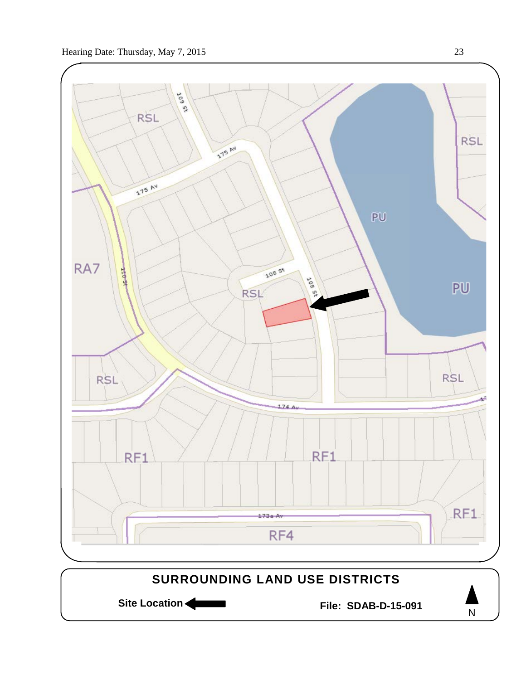